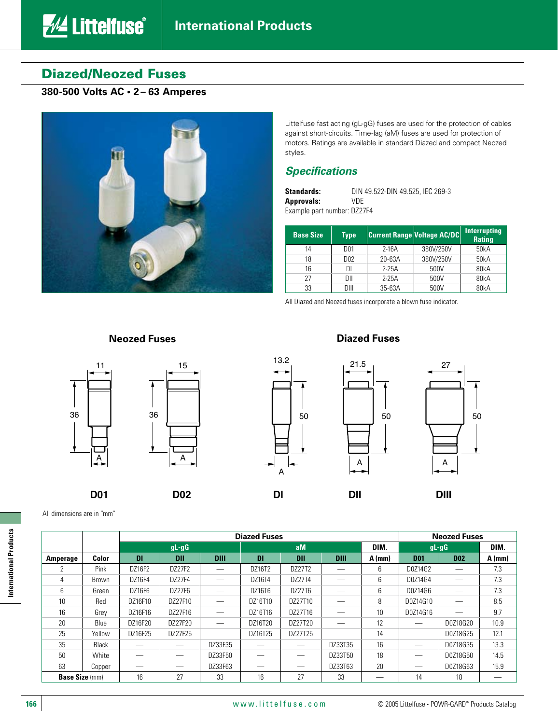# Diazed/Neozed Fuses

*<u>AL</u>* Littelfuse®

## **380-500 Volts AC • 2 – 63 Amperes**



Littelfuse fast acting (gL-gG) fuses are used for the protection of cables against short-circuits. Time-lag (aM) fuses are used for protection of motors. Ratings are available in standard Diazed and compact Neozed styles.

## *Specifications*

| <b>Standards:</b>           | DIN 49.522-DIN 49.525. IEC 269-3 |
|-----------------------------|----------------------------------|
| <b>Approvals:</b>           | VDE                              |
| Example part number: DZ27F4 |                                  |

| <b>Base Size</b> | <b>Type</b>     |            | <b>Current Range Voltage AC/DC</b> | <b>Interrupting</b><br><b>Rating</b> |
|------------------|-----------------|------------|------------------------------------|--------------------------------------|
| 14               | D01             | $2-16A$    | 380V/250V                          | 50kA                                 |
| 18               | D <sub>02</sub> | $20 - 63A$ | 380V/250V                          | 50kA                                 |
| 16               |                 | $2-25A$    | 500V                               | 80kA                                 |
| 27               | DII             | $2-25A$    | 500V                               | 80kA                                 |
| 33               | DIII            | 35-63A     | 500V                               | 80kA                                 |

All Diazed and Neozed fuses incorporate a blown fuse indicator.

## **Neozed Fuses Diazed Fuses**

15



All dimensions are in "mm"

A 13.2

50





International Products **International Products**

**Diazed Fuses Neozed Fuses gL-gG aM DIM**. **gL-gG DIM. Amperage Color DI DII DIII DI DII DIII A (mm) D01 D02 A (mm)** 2 Pink DZ16F2 DZ27F2 — DZ16T2 DZ27T2 — 6 D0Z14G2 — 7.3 4 Brown DZ16F4 DZ27F4 — DZ16T4 DZ27T4 — 6 D0Z14G4 — 7.3 6 Green DZ16F6 DZ27F6 — DZ16T6 DZ27T6 — 6 D0Z14G6 — 7.3 10 Red DZ16F10 DZ27F10 — DZ16T10 DZ27T10 — 8 D0Z14G10 — 8.5 16 Grey DZ16F16 DZ27F16 — DZ16T16 DZ27T16 — 10 D0Z14G16 — 9.7 20 Blue DZ16F20 DZ27F20 — DZ16T20 DZ27T20 — 12 — D0Z18G20 10.9 25 | Yellow | DZ16F25 | DZ27F25 | — | DZ16T25 | DZ27T25 | — | 14 | — | DOZ18G25 | 12.1 35 | Black | — | — | DZ33F35 | — | — | DZ33T35 | 16 | — | DOZ18G35 | 13.3 50 White — — DZ33F50 — — DZ33T50 18 — D0Z18G50 14.5 63 | Copper | — | — | DZ33F63 | — | — | DZ33T63 | 20 | — | DZ218G63 | 15.9 **Base Size** (mm) | 16 | 27 | 33 | 16 | 27 | 33 | -- | 14 | 18 | --